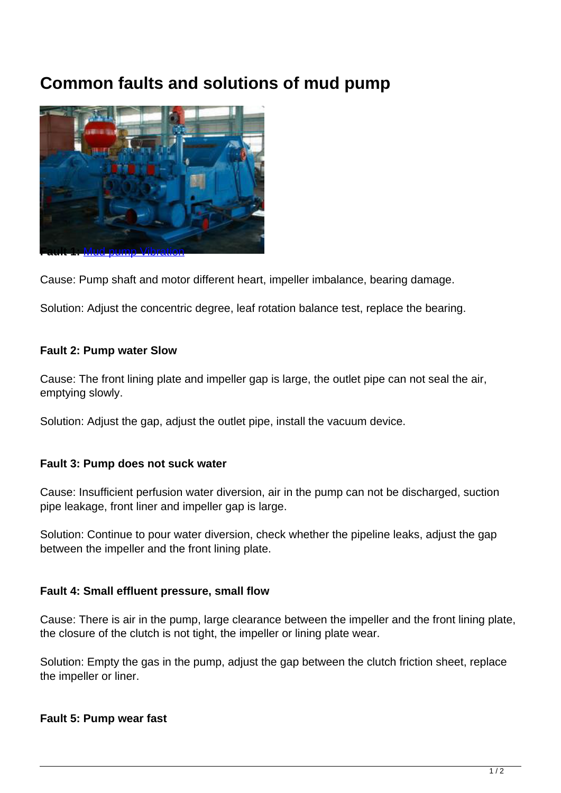# **Common faults and solutions of mud pump**



Cause: Pump shaft and motor different heart, impeller imbalance, bearing damage.

Solution: Adjust the concentric degree, leaf rotation balance test, replace the bearing.

#### **Fault 2: Pump water Slow**

Cause: The front lining plate and impeller gap is large, the outlet pipe can not seal the air, emptying slowly.

Solution: Adjust the gap, adjust the outlet pipe, install the vacuum device.

#### **Fault 3: Pump does not suck water**

Cause: Insufficient perfusion water diversion, air in the pump can not be discharged, suction pipe leakage, front liner and impeller gap is large.

Solution: Continue to pour water diversion, check whether the pipeline leaks, adjust the gap between the impeller and the front lining plate.

#### **Fault 4: Small effluent pressure, small flow**

Cause: There is air in the pump, large clearance between the impeller and the front lining plate, the closure of the clutch is not tight, the impeller or lining plate wear.

Solution: Empty the gas in the pump, adjust the gap between the clutch friction sheet, replace the impeller or liner.

## **Fault 5: Pump wear fast**